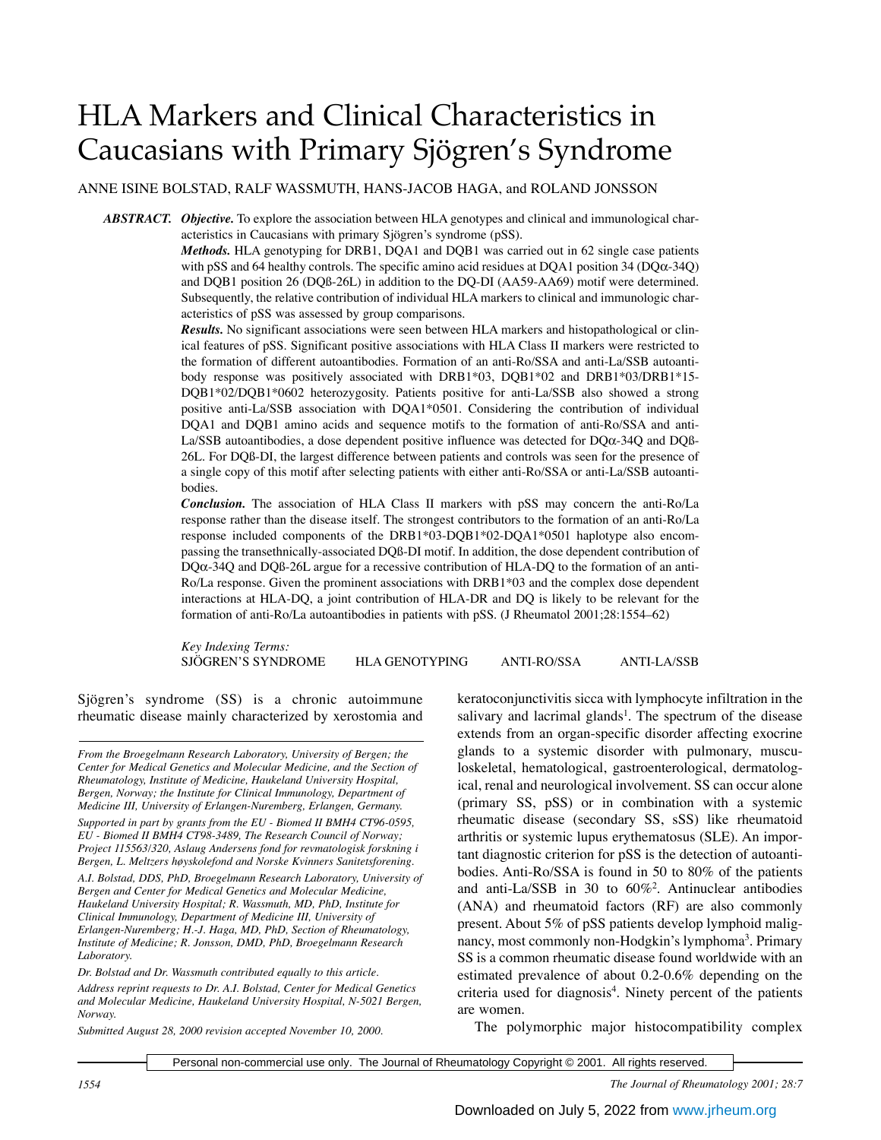# HLA Markers and Clinical Characteristics in Caucasians with Primary Sjögren's Syndrome

ANNE ISINE BOLSTAD, RALF WASSMUTH, HANS-JACOB HAGA, and ROLAND JONSSON

*ABSTRACT. Objective.* To explore the association between HLA genotypes and clinical and immunological characteristics in Caucasians with primary Sjögren's syndrome (pSS).

> *Methods.* HLA genotyping for DRB1, DQA1 and DQB1 was carried out in 62 single case patients with pSS and 64 healthy controls. The specific amino acid residues at DQA1 position 34 (DQα-34Q) and DQB1 position 26 (DQß-26L) in addition to the DQ-DI (AA59-AA69) motif were determined. Subsequently, the relative contribution of individual HLA markers to clinical and immunologic characteristics of pSS was assessed by group comparisons.

> *Results.* No significant associations were seen between HLA markers and histopathological or clinical features of pSS. Significant positive associations with HLA Class II markers were restricted to the formation of different autoantibodies. Formation of an anti-Ro/SSA and anti-La/SSB autoantibody response was positively associated with DRB1\*03, DQB1\*02 and DRB1\*03/DRB1\*15- DQB1\*02/DQB1\*0602 heterozygosity. Patients positive for anti-La/SSB also showed a strong positive anti-La/SSB association with DQA1\*0501. Considering the contribution of individual DQA1 and DQB1 amino acids and sequence motifs to the formation of anti-Ro/SSA and anti-La/SSB autoantibodies, a dose dependent positive influence was detected for DQα-34Q and DQß-26L. For DQß-DI, the largest difference between patients and controls was seen for the presence of a single copy of this motif after selecting patients with either anti-Ro/SSA or anti-La/SSB autoantibodies.

> *Conclusion.* The association of HLA Class II markers with pSS may concern the anti-Ro/La response rather than the disease itself. The strongest contributors to the formation of an anti-Ro/La response included components of the DRB1\*03-DQB1\*02-DQA1\*0501 haplotype also encompassing the transethnically-associated DQß-DI motif. In addition, the dose dependent contribution of  $DQ\alpha$ -34Q and  $DQ\beta$ -26L argue for a recessive contribution of HLA-DQ to the formation of an anti-Ro/La response. Given the prominent associations with DRB1\*03 and the complex dose dependent interactions at HLA-DQ, a joint contribution of HLA-DR and DQ is likely to be relevant for the formation of anti-Ro/La autoantibodies in patients with pSS. (J Rheumatol 2001;28:1554–62)

> *Key Indexing Terms:* SJÖGREN'S SYNDROME HLA GENOTYPING ANTI-RO/SSA ANTI-LA/SSB

Sjögren's syndrome (SS) is a chronic autoimmune rheumatic disease mainly characterized by xerostomia and

*From the Broegelmann Research Laboratory, University of Bergen; the Center for Medical Genetics and Molecular Medicine, and the Section of Rheumatology, Institute of Medicine, Haukeland University Hospital, Bergen, Norway; the Institute for Clinical Immunology, Department of Medicine III, University of Erlangen-Nuremberg, Erlangen, Germany.*

*Supported in part by grants from the EU - Biomed II BMH4 CT96-0595, EU - Biomed II BMH4 CT98-3489, The Research Council of Norway; Project 115563/320, Aslaug Andersens fond for revmatologisk forskning i Bergen, L. Meltzers høyskolefond and Norske Kvinners Sanitetsforening.*

*A.I. Bolstad, DDS, PhD, Broegelmann Research Laboratory, University of Bergen and Center for Medical Genetics and Molecular Medicine, Haukeland University Hospital; R. Wassmuth, MD, PhD, Institute for Clinical Immunology, Department of Medicine III, University of Erlangen-Nuremberg; H.-J. Haga, MD, PhD, Section of Rheumatology, Institute of Medicine; R. Jonsson, DMD, PhD, Broegelmann Research Laboratory.*

*Dr. Bolstad and Dr. Wassmuth contributed equally to this article. Address reprint requests to Dr. A.I. Bolstad, Center for Medical Genetics and Molecular Medicine, Haukeland University Hospital, N-5021 Bergen, Norway.*

*Submitted August 28, 2000 revision accepted November 10, 2000.*

keratoconjunctivitis sicca with lymphocyte infiltration in the salivary and lacrimal glands<sup>1</sup>. The spectrum of the disease extends from an organ-specific disorder affecting exocrine glands to a systemic disorder with pulmonary, musculoskeletal, hematological, gastroenterological, dermatological, renal and neurological involvement. SS can occur alone (primary SS, pSS) or in combination with a systemic rheumatic disease (secondary SS, sSS) like rheumatoid arthritis or systemic lupus erythematosus (SLE). An important diagnostic criterion for pSS is the detection of autoantibodies. Anti-Ro/SSA is found in 50 to 80% of the patients and anti-La/SSB in 30 to 60%2 . Antinuclear antibodies (ANA) and rheumatoid factors (RF) are also commonly present. About 5% of pSS patients develop lymphoid malignancy, most commonly non-Hodgkin's lymphoma<sup>3</sup>. Primary SS is a common rheumatic disease found worldwide with an estimated prevalence of about 0.2-0.6% depending on the criteria used for diagnosis<sup>4</sup>. Ninety percent of the patients are women.

The polymorphic major histocompatibility complex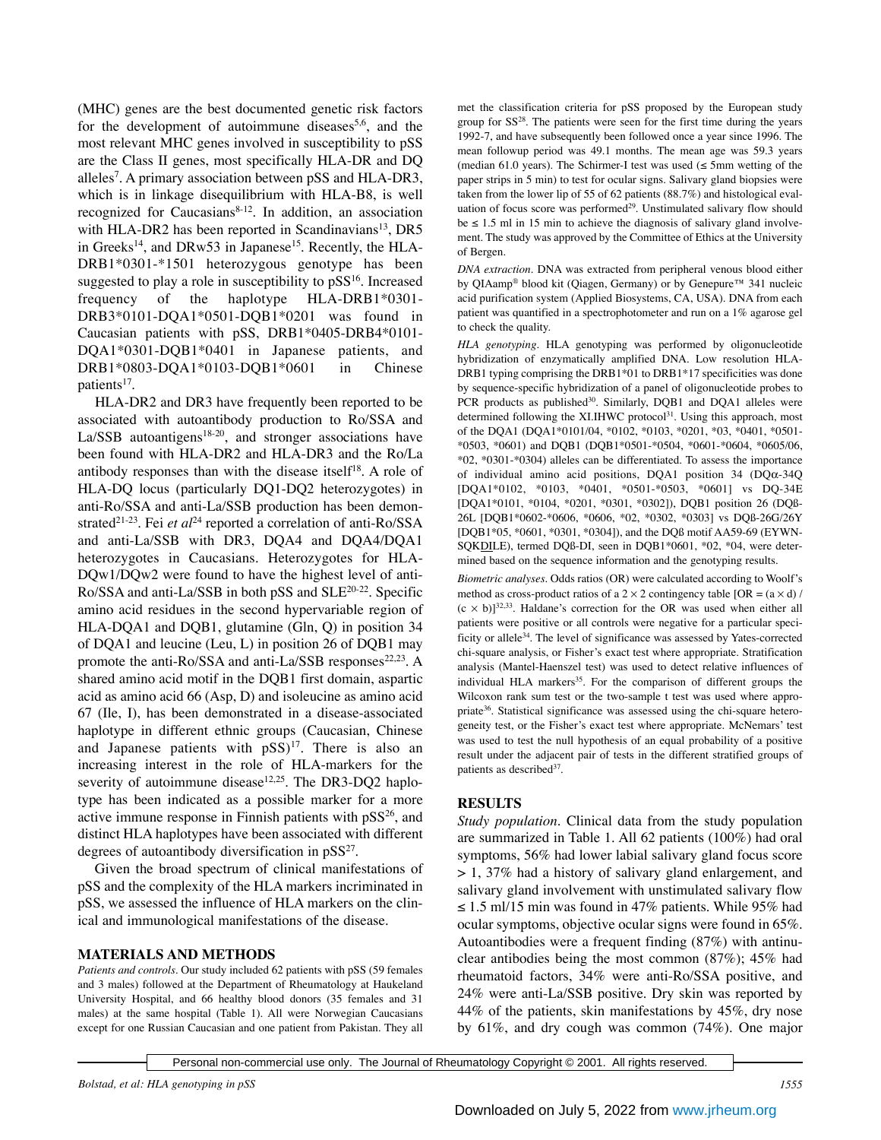(MHC) genes are the best documented genetic risk factors for the development of autoimmune diseases<sup>5,6</sup>, and the most relevant MHC genes involved in susceptibility to pSS are the Class II genes, most specifically HLA-DR and DQ alleles7 . A primary association between pSS and HLA-DR3, which is in linkage disequilibrium with HLA-B8, is well recognized for Caucasians<sup>8-12</sup>. In addition, an association with HLA-DR2 has been reported in Scandinavians<sup>13</sup>, DR5 in Greeks<sup>14</sup>, and DRw53 in Japanese<sup>15</sup>. Recently, the HLA-DRB1\*0301-\*1501 heterozygous genotype has been suggested to play a role in susceptibility to  $pSS<sup>16</sup>$ . Increased frequency of the haplotype HLA-DRB1\*0301- DRB3\*0101-DQA1\*0501-DQB1\*0201 was found in Caucasian patients with pSS, DRB1\*0405-DRB4\*0101- DQA1\*0301-DQB1\*0401 in Japanese patients, and DRB1\*0803-DQA1\*0103-DQB1\*0601 in Chinese patients<sup>17</sup>.

HLA-DR2 and DR3 have frequently been reported to be associated with autoantibody production to Ro/SSA and  $La/SSB$  autoantigens<sup>18-20</sup>, and stronger associations have been found with HLA-DR2 and HLA-DR3 and the Ro/La antibody responses than with the disease itself $18$ . A role of HLA-DQ locus (particularly DQ1-DQ2 heterozygotes) in anti-Ro/SSA and anti-La/SSB production has been demonstrated<sup>21-23</sup>. Fei et al<sup>24</sup> reported a correlation of anti-Ro/SSA and anti-La/SSB with DR3, DQA4 and DQA4/DQA1 heterozygotes in Caucasians. Heterozygotes for HLA-DQw1/DQw2 were found to have the highest level of anti-Ro/SSA and anti-La/SSB in both pSS and SLE20-22. Specific amino acid residues in the second hypervariable region of HLA-DQA1 and DQB1, glutamine (Gln, Q) in position 34 of DQA1 and leucine (Leu, L) in position 26 of DQB1 may promote the anti-Ro/SSA and anti-La/SSB responses<sup>22,23</sup>. A shared amino acid motif in the DQB1 first domain, aspartic acid as amino acid 66 (Asp, D) and isoleucine as amino acid 67 (Ile, I), has been demonstrated in a disease-associated haplotype in different ethnic groups (Caucasian, Chinese and Japanese patients with  $pSS$ <sup>17</sup>. There is also an increasing interest in the role of HLA-markers for the severity of autoimmune disease $12,25$ . The DR3-DQ2 haplotype has been indicated as a possible marker for a more active immune response in Finnish patients with  $pSS^{26}$ , and distinct HLA haplotypes have been associated with different degrees of autoantibody diversification in  $pSS^{27}$ .

Given the broad spectrum of clinical manifestations of pSS and the complexity of the HLA markers incriminated in pSS, we assessed the influence of HLA markers on the clinical and immunological manifestations of the disease.

# **MATERIALS AND METHODS**

*Patients and controls.* Our study included 62 patients with pSS (59 females and 3 males) followed at the Department of Rheumatology at Haukeland University Hospital, and 66 healthy blood donors (35 females and 31 males) at the same hospital (Table 1). All were Norwegian Caucasians except for one Russian Caucasian and one patient from Pakistan. They all

met the classification criteria for pSS proposed by the European study group for SS<sup>28</sup>. The patients were seen for the first time during the years 1992-7, and have subsequently been followed once a year since 1996. The mean followup period was 49.1 months. The mean age was 59.3 years (median 61.0 years). The Schirmer-I test was used  $(\leq 5 \text{mm}$  wetting of the paper strips in 5 min) to test for ocular signs. Salivary gland biopsies were taken from the lower lip of 55 of 62 patients (88.7%) and histological evaluation of focus score was performed<sup>29</sup>. Unstimulated salivary flow should be  $\leq$  1.5 ml in 15 min to achieve the diagnosis of salivary gland involvement. The study was approved by the Committee of Ethics at the University of Bergen.

*DNA extraction.* DNA was extracted from peripheral venous blood either by QIAamp® blood kit (Qiagen, Germany) or by Genepure™ 341 nucleic acid purification system (Applied Biosystems, CA, USA). DNA from each patient was quantified in a spectrophotometer and run on a 1% agarose gel to check the quality.

*HLA genotyping.* HLA genotyping was performed by oligonucleotide hybridization of enzymatically amplified DNA. Low resolution HLA-DRB1 typing comprising the DRB1\*01 to DRB1\*17 specificities was done by sequence-specific hybridization of a panel of oligonucleotide probes to PCR products as published<sup>30</sup>. Similarly, DQB1 and DQA1 alleles were determined following the XI.IHWC protocol<sup>31</sup>. Using this approach, most of the DQA1 (DQA1\*0101/04, \*0102, \*0103, \*0201, \*03, \*0401, \*0501- \*0503, \*0601) and DQB1 (DQB1\*0501-\*0504, \*0601-\*0604, \*0605/06, \*02, \*0301-\*0304) alleles can be differentiated. To assess the importance of individual amino acid positions, DQA1 position 34 (DQα-34Q [DQA1\*0102, \*0103, \*0401, \*0501-\*0503, \*0601] vs DQ-34E [DQA1\*0101, \*0104, \*0201, \*0301, \*0302]), DQB1 position 26 (DQß-26L [DQB1\*0602-\*0606, \*0606, \*02, \*0302, \*0303] vs DQß-26G/26Y [DQB1\*05, \*0601, \*0301, \*0304]), and the DQß motif AA59-69 (EYWN-SQKDILE), termed DQß-DI, seen in DQB1\*0601, \*02, \*04, were determined based on the sequence information and the genotyping results.

*Biometric analyses.* Odds ratios (OR) were calculated according to Woolf's method as cross-product ratios of a  $2 \times 2$  contingency table [OR = (a  $\times$  d) /  $(c \times b)$ ]<sup>32,33</sup>. Haldane's correction for the OR was used when either all patients were positive or all controls were negative for a particular specificity or allele<sup>34</sup>. The level of significance was assessed by Yates-corrected chi-square analysis, or Fisher's exact test where appropriate. Stratification analysis (Mantel-Haenszel test) was used to detect relative influences of individual HLA markers<sup>35</sup>. For the comparison of different groups the Wilcoxon rank sum test or the two-sample t test was used where appropriate36. Statistical significance was assessed using the chi-square heterogeneity test, or the Fisher's exact test where appropriate. McNemars' test was used to test the null hypothesis of an equal probability of a positive result under the adjacent pair of tests in the different stratified groups of patients as described<sup>37</sup>.

# **RESULTS**

*Study population.* Clinical data from the study population are summarized in Table 1. All 62 patients (100%) had oral symptoms, 56% had lower labial salivary gland focus score > 1, 37% had a history of salivary gland enlargement, and salivary gland involvement with unstimulated salivary flow  $\leq 1.5$  ml/15 min was found in 47% patients. While 95% had ocular symptoms, objective ocular signs were found in 65%. Autoantibodies were a frequent finding (87%) with antinuclear antibodies being the most common (87%); 45% had rheumatoid factors, 34% were anti-Ro/SSA positive, and 24% were anti-La/SSB positive. Dry skin was reported by 44% of the patients, skin manifestations by 45%, dry nose by 61%, and dry cough was common (74%). One major

Personal non-commercial use only. The Journal of Rheumatology Copyright © 2001. All rights reserved.

*Bolstad, et al: HLA genotyping in pSS 1555*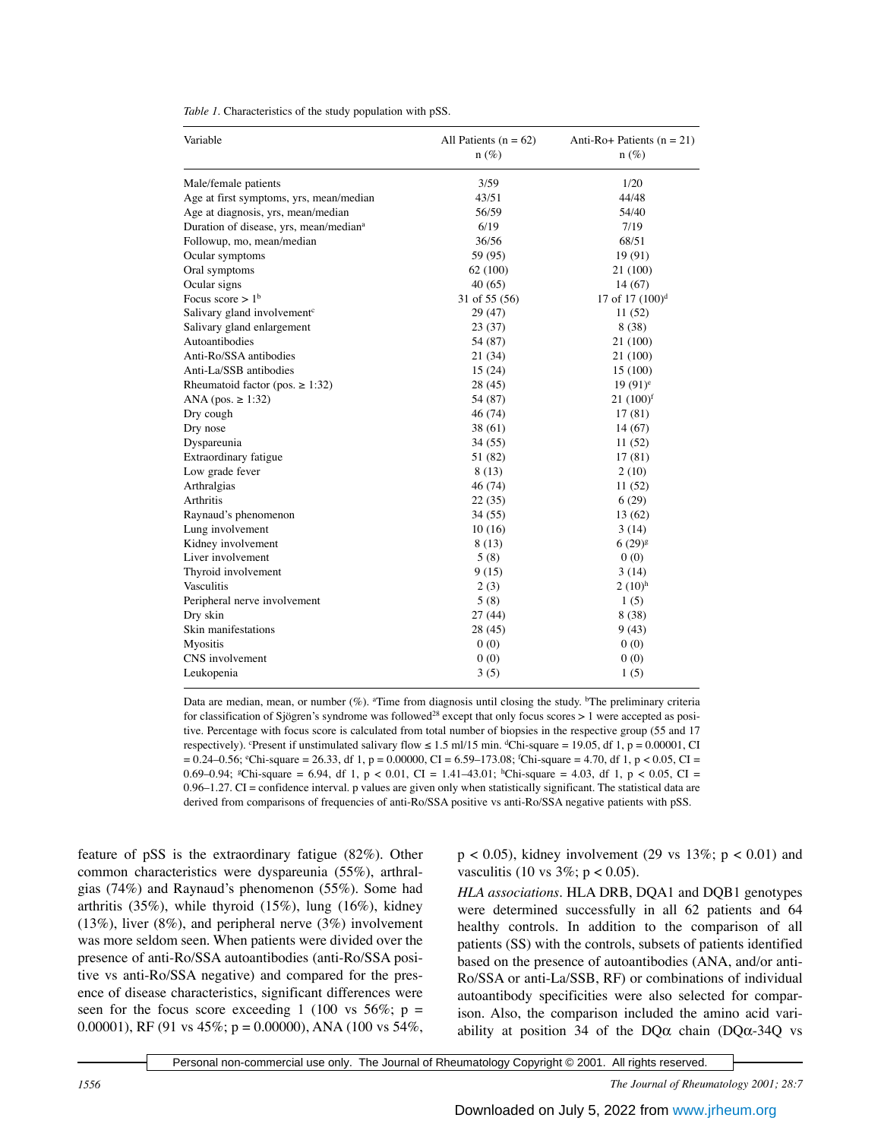| Variable                                           | All Patients $(n = 62)$<br>$n(\%)$ | Anti-Ro+ Patients $(n = 21)$<br>$n(\%)$ |
|----------------------------------------------------|------------------------------------|-----------------------------------------|
| Male/female patients                               | 3/59                               | 1/20                                    |
| Age at first symptoms, yrs, mean/median            | 43/51                              | 44/48                                   |
| Age at diagnosis, yrs, mean/median                 | 56/59                              | 54/40                                   |
| Duration of disease, yrs, mean/median <sup>a</sup> | 6/19                               | 7/19                                    |
| Followup, mo, mean/median                          | 36/56                              | 68/51                                   |
| Ocular symptoms                                    | 59 (95)                            | 19(91)                                  |
| Oral symptoms                                      | 62 (100)                           | 21 (100)                                |
| Ocular signs                                       | 40(65)                             | 14(67)                                  |
| Focus score $> 1b$                                 | 31 of 55 (56)                      | 17 of 17 $(100)^d$                      |
| Salivary gland involvement <sup>c</sup>            | 29 (47)                            | 11(52)                                  |
| Salivary gland enlargement                         | 23(37)                             | 8 (38)                                  |
| Autoantibodies                                     | 54 (87)                            | 21 (100)                                |
| Anti-Ro/SSA antibodies                             | 21 (34)                            | 21 (100)                                |
| Anti-La/SSB antibodies                             | 15(24)                             | 15 (100)                                |
| Rheumatoid factor (pos. $\geq$ 1:32)               | 28 (45)                            | $19(91)^e$                              |
| ANA (pos. $\ge$ 1:32)                              | 54 (87)                            | $21 (100)^f$                            |
| Dry cough                                          | 46 (74)                            | 17(81)                                  |
| Dry nose                                           | 38 (61)                            | 14(67)                                  |
| Dyspareunia                                        | 34 (55)                            | 11 (52)                                 |
| Extraordinary fatigue                              | 51 (82)                            | 17(81)                                  |
| Low grade fever                                    | 8(13)                              | 2(10)                                   |
| Arthralgias                                        | 46(74)                             | 11(52)                                  |
| Arthritis                                          | 22(35)                             | 6(29)                                   |
| Raynaud's phenomenon                               | 34 (55)                            | 13 (62)                                 |
| Lung involvement                                   | 10(16)                             | 3(14)                                   |
| Kidney involvement                                 | 8 (13)                             | $6(29)$ <sup>g</sup>                    |
| Liver involvement                                  | 5(8)                               | 0(0)                                    |
| Thyroid involvement                                | 9(15)                              | 3(14)                                   |
| <b>Vasculitis</b>                                  | 2(3)                               | $2(10)$ <sup>h</sup>                    |
| Peripheral nerve involvement                       | 5(8)                               | 1(5)                                    |
| Dry skin                                           | 27(44)                             | 8 (38)                                  |
| Skin manifestations                                | 28 (45)                            | 9(43)                                   |
| <b>Myositis</b>                                    | 0(0)                               | 0(0)                                    |
| CNS involvement                                    | 0(0)                               | 0(0)                                    |
| Leukopenia                                         | 3(5)                               | 1(5)                                    |

*Table 1.* Characteristics of the study population with pSS.

Data are median, mean, or number (%). <sup>a</sup>Time from diagnosis until closing the study. <sup>b</sup>The preliminary criteria for classification of Sjögren's syndrome was followed<sup>28</sup> except that only focus scores  $> 1$  were accepted as positive. Percentage with focus score is calculated from total number of biopsies in the respective group (55 and 17 respectively). Present if unstimulated salivary flow  $\le 1.5$  ml/15 min. <sup>d</sup>Chi-square = 19.05, df 1, p = 0.00001, CI  $= 0.24 - 0.56$ ;  ${}^{\circ}\text{Chi-square} = 26.33$ , df 1, p = 0.00000, CI = 6.59–173.08;  ${}^{\circ}\text{Chi-square} = 4.70$ , df 1, p < 0.05, CI = 0.69–0.94; <sup>g</sup>Chi-square = 6.94, df 1, p < 0.01, CI = 1.41–43.01; <sup>h</sup>Chi-square = 4.03, df 1, p < 0.05, CI = 0.96–1.27. CI = confidence interval. p values are given only when statistically significant. The statistical data are derived from comparisons of frequencies of anti-Ro/SSA positive vs anti-Ro/SSA negative patients with pSS.

feature of pSS is the extraordinary fatigue (82%). Other common characteristics were dyspareunia (55%), arthralgias (74%) and Raynaud's phenomenon (55%). Some had arthritis (35%), while thyroid (15%), lung (16%), kidney (13%), liver (8%), and peripheral nerve (3%) involvement was more seldom seen. When patients were divided over the presence of anti-Ro/SSA autoantibodies (anti-Ro/SSA positive vs anti-Ro/SSA negative) and compared for the presence of disease characteristics, significant differences were seen for the focus score exceeding 1 (100 vs  $56\%$ ; p = 0.00001), RF (91 vs 45%;  $p = 0.00000$ ), ANA (100 vs 54%,

 $p < 0.05$ ), kidney involvement (29 vs 13%;  $p < 0.01$ ) and vasculitis (10 vs  $3\%$ ; p < 0.05).

*HLA associations.* HLA DRB, DQA1 and DQB1 genotypes were determined successfully in all 62 patients and 64 healthy controls. In addition to the comparison of all patients (SS) with the controls, subsets of patients identified based on the presence of autoantibodies (ANA, and/or anti-Ro/SSA or anti-La/SSB, RF) or combinations of individual autoantibody specificities were also selected for comparison. Also, the comparison included the amino acid variability at position 34 of the  $DQ\alpha$  chain ( $DQ\alpha$ -34Q vs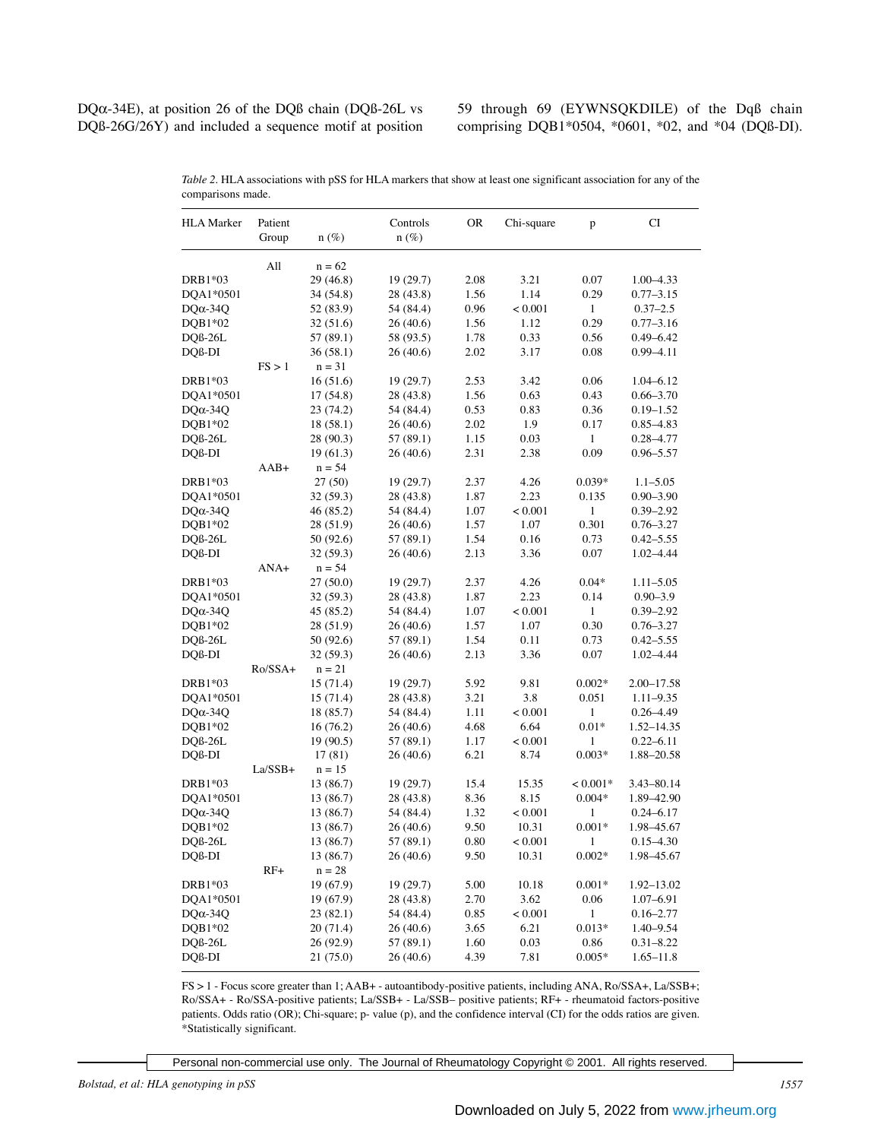DQα-34E), at position 26 of the DQß chain (DQß-26L vs DQß-26G/26Y) and included a sequence motif at position 59 through 69 (EYWNSQKDILE) of the Dqß chain comprising DQB1\*0504, \*0601, \*02, and \*04 (DQß-DI).

| <b>HLA</b> Marker   | Patient   |                        | Controls  | <b>OR</b> | Chi-square   | p            | CI                         |
|---------------------|-----------|------------------------|-----------|-----------|--------------|--------------|----------------------------|
|                     | Group     | $n(\%)$                | $n(\%)$   |           |              |              |                            |
|                     | All       | $n = 62$               |           |           |              |              |                            |
| DRB1*03             |           | 29(46.8)               | 19(29.7)  | 2.08      | 3.21         | 0.07         | $1.00 - 4.33$              |
| DOA1*0501           |           | 34 (54.8)              | 28 (43.8) | 1.56      | 1.14         | 0.29         | $0.77 - 3.15$              |
| $DQ\alpha - 34Q$    |           | 52 (83.9)              | 54 (84.4) | 0.96      | < 0.001      | $\mathbf{1}$ | $0.37 - 2.5$               |
| $DQB1*02$           |           | 32 (51.6)              | 26(40.6)  | 1.56      | 1.12         | 0.29         | $0.77 - 3.16$              |
| DQß-26L             |           | 57 (89.1)              | 58 (93.5) | 1.78      | 0.33         | 0.56         | $0.49 - 6.42$              |
| DQß-DI              |           | 36(58.1)               | 26 (40.6) | 2.02      | 3.17         | 0.08         | $0.99 - 4.11$              |
|                     | FS > 1    | $n = 31$               |           |           |              |              |                            |
| DRB1*03             |           | 16(51.6)               | 19(29.7)  | 2.53      | 3.42         | 0.06         | 1.04–6.12                  |
| DQA1*0501           |           | 17(54.8)               | 28 (43.8) | 1.56      | 0.63         | 0.43         | $0.66 - 3.70$              |
| $DQ\alpha - 34Q$    |           | 23 (74.2)              | 54 (84.4) | 0.53      | 0.83         | 0.36         | $0.19 - 1.52$              |
| $DQB1*02$           |           | 18 (58.1)              | 26(40.6)  | 2.02      | 1.9          | 0.17         | $0.85 - 4.83$              |
| DQß-26L             |           | 28 (90.3)              | 57 (89.1) | 1.15      | 0.03         | $\mathbf{1}$ | $0.28 - 4.77$              |
| DQß-DI              |           | 19(61.3)               | 26 (40.6) | 2.31      | 2.38         | 0.09         | $0.96 - 5.57$              |
|                     | $AAB+$    | $n = 54$               |           |           |              |              |                            |
| DRB1*03             |           | 27(50)                 | 19(29.7)  | 2.37      | 4.26         | $0.039*$     | $1.1 - 5.05$               |
| DQA1*0501           |           | 32 (59.3)              | 28 (43.8) | 1.87      | 2.23         | 0.135        | $0.90 - 3.90$              |
| $DQ\alpha - 34Q$    |           | 46 (85.2)              | 54 (84.4) | 1.07      | < 0.001      | 1            | $0.39 - 2.92$              |
| $DQB1*02$           |           | 28 (51.9)              | 26 (40.6) | 1.57      | 1.07         | 0.301        | $0.76 - 3.27$              |
|                     |           |                        |           | 1.54      |              | 0.73         |                            |
| $DQB-26L$<br>DQß-DI |           | 50 (92.6)<br>32 (59.3) | 57 (89.1) | 2.13      | 0.16<br>3.36 | 0.07         | $0.42 - 5.55$<br>1.02-4.44 |
|                     | $ANA+$    |                        | 26 (40.6) |           |              |              |                            |
|                     |           | $n = 54$               |           |           |              |              |                            |
| DRB1*03             |           | 27(50.0)               | 19(29.7)  | 2.37      | 4.26         | $0.04*$      | $1.11 - 5.05$              |
| DQA1*0501           |           | 32 (59.3)              | 28 (43.8) | 1.87      | 2.23         | 0.14         | $0.90 - 3.9$               |
| $DQ\alpha - 34Q$    |           | 45 (85.2)              | 54 (84.4) | 1.07      | < 0.001      | $\mathbf{1}$ | $0.39 - 2.92$              |
| $DQB1*02$           |           | 28 (51.9)              | 26(40.6)  | 1.57      | 1.07         | 0.30         | $0.76 - 3.27$              |
| $DQB-26L$           |           | 50 (92.6)              | 57 (89.1) | 1.54      | 0.11         | 0.73         | $0.42 - 5.55$              |
| DQß-DI              |           | 32 (59.3)              | 26 (40.6) | 2.13      | 3.36         | 0.07         | $1.02 - 4.44$              |
|                     | $Ro/SSA+$ | $n = 21$               |           |           |              |              |                            |
| DRB1*03             |           | 15(71.4)               | 19(29.7)  | 5.92      | 9.81         | $0.002*$     | 2.00–17.58                 |
| DQA1*0501           |           | 15(71.4)               | 28 (43.8) | 3.21      | 3.8          | 0.051        | $1.11 - 9.35$              |
| $DQ\alpha - 34Q$    |           | 18 (85.7)              | 54 (84.4) | 1.11      | < 0.001      | $\mathbf{1}$ | $0.26 - 4.49$              |
| DQB1*02             |           | 16 (76.2)              | 26 (40.6) | 4.68      | 6.64         | $0.01*$      | 1.52–14.35                 |
| $DQB-26L$           |           | 19 (90.5)              | 57 (89.1) | 1.17      | < 0.001      | 1            | $0.22 - 6.11$              |
| DQß-DI              |           | 17(81)                 | 26 (40.6) | 6.21      | 8.74         | $0.003*$     | 1.88-20.58                 |
|                     | $La/SSB+$ | $n = 15$               |           |           |              |              |                            |
| DRB1*03             |           | 13 (86.7)              | 19(29.7)  | 15.4      | 15.35        | $< 0.001*$   | 3.43–80.14                 |
| DQA1*0501           |           | 13 (86.7)              | 28 (43.8) | 8.36      | 8.15         | $0.004*$     | 1.89-42.90                 |
| $DQ\alpha - 34Q$    |           | 13 (86.7)              | 54 (84.4) | 1.32      | < 0.001      | 1            | $0.24 - 6.17$              |
| DQB1*02             |           | 13 (86.7)              | 26 (40.6) | 9.50      | 10.31        | $0.001*$     | 1.98-45.67                 |
| DQß-26L             |           | 13 (86.7)              | 57 (89.1) | 0.80      | < 0.001      | 1            | $0.15 - 4.30$              |
| DQß-DI              |           | 13 (86.7)              | 26 (40.6) | 9.50      | 10.31        | $0.002*$     | 1.98-45.67                 |
|                     | $RF+$     | $n = 28$               |           |           |              |              |                            |
| DRB1*03             |           | 19 (67.9)              | 19(29.7)  | 5.00      | 10.18        | $0.001*$     | 1.92-13.02                 |
| DQA1*0501           |           | 19 (67.9)              | 28 (43.8) | 2.70      | 3.62         | 0.06         | $1.07 - 6.91$              |
| $DQ\alpha - 34Q$    |           | 23(82.1)               | 54 (84.4) | 0.85      | < 0.001      | 1            | $0.16 - 2.77$              |
| DQB1*02             |           | 20(71.4)               | 26(40.6)  | 3.65      | 6.21         | $0.013*$     | $1.40 - 9.54$              |
| DQß-26L             |           | 26(92.9)               | 57 (89.1) | 1.60      | 0.03         | 0.86         | $0.31 - 8.22$              |
| DQß-DI              |           | 21(75.0)               | 26(40.6)  | 4.39      | 7.81         | $0.005*$     | $1.65 - 11.8$              |

*Table 2.* HLA associations with pSS for HLA markers that show at least one significant association for any of the comparisons made.

FS > 1 - Focus score greater than 1; AAB+ - autoantibody-positive patients, including ANA, Ro/SSA+, La/SSB+; Ro/SSA+ - Ro/SSA-positive patients; La/SSB+ - La/SSB– positive patients; RF+ - rheumatoid factors-positive patients. Odds ratio (OR); Chi-square; p- value (p), and the confidence interval (CI) for the odds ratios are given. \*Statistically significant.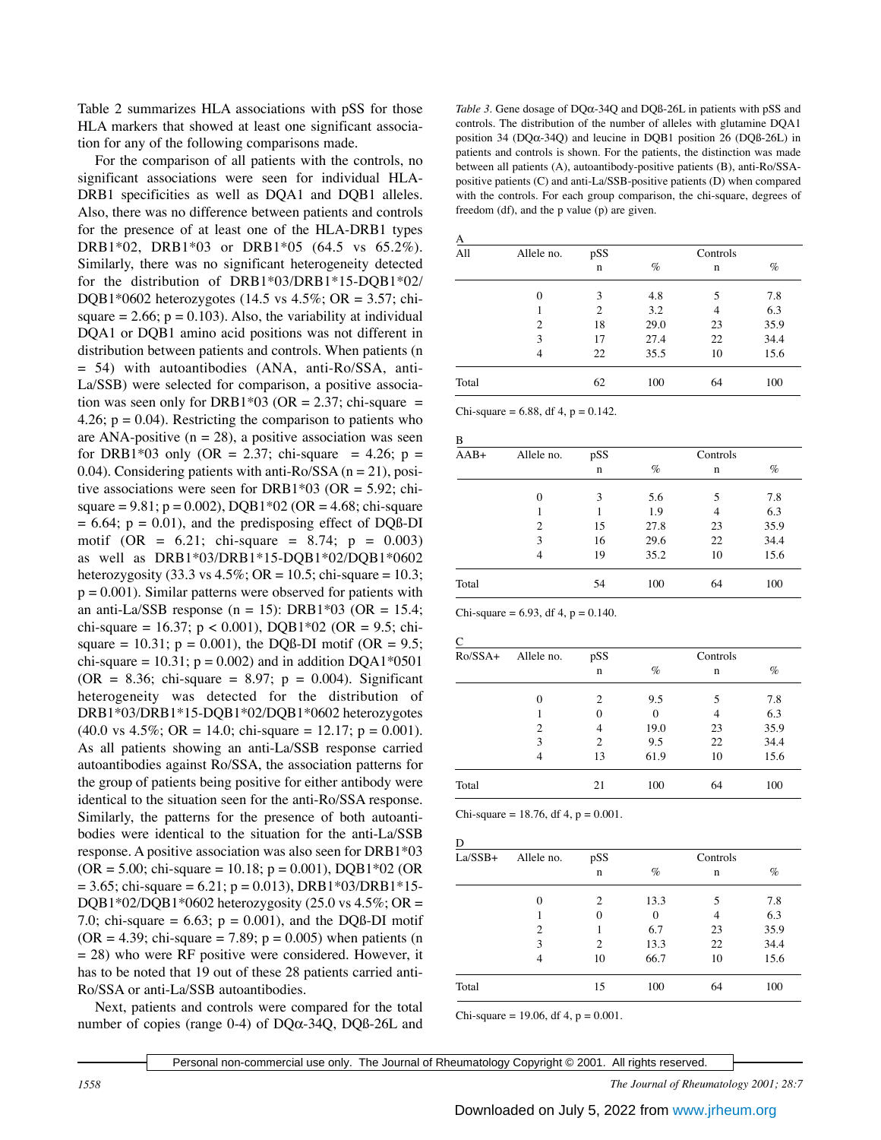Table 2 summarizes HLA associations with pSS for those HLA markers that showed at least one significant association for any of the following comparisons made.

For the comparison of all patients with the controls, no significant associations were seen for individual HLA-DRB1 specificities as well as DQA1 and DQB1 alleles. Also, there was no difference between patients and controls for the presence of at least one of the HLA-DRB1 types DRB1\*02, DRB1\*03 or DRB1\*05 (64.5 vs 65.2%). Similarly, there was no significant heterogeneity detected for the distribution of DRB1\*03/DRB1\*15-DQB1\*02/ DQB1\*0602 heterozygotes (14.5 vs  $4.5\%$ ; OR = 3.57; chisquare  $= 2.66$ ;  $p = 0.103$ ). Also, the variability at individual DQA1 or DQB1 amino acid positions was not different in distribution between patients and controls. When patients (n = 54) with autoantibodies (ANA, anti-Ro/SSA, anti-La/SSB) were selected for comparison, a positive association was seen only for DRB1\*03 (OR = 2.37; chi-square = 4.26;  $p = 0.04$ ). Restricting the comparison to patients who are ANA-positive  $(n = 28)$ , a positive association was seen for DRB1\*03 only (OR = 2.37; chi-square = 4.26;  $p =$ 0.04). Considering patients with anti-Ro/SSA  $(n = 21)$ , positive associations were seen for DRB1\*03 (OR = 5.92; chisquare = 9.81;  $p = 0.002$ ), DQB1\*02 (OR = 4.68; chi-square  $= 6.64$ ;  $p = 0.01$ ), and the predisposing effect of DQß-DI motif (OR =  $6.21$ ; chi-square =  $8.74$ ; p =  $0.003$ ) as well as DRB1\*03/DRB1\*15-DQB1\*02/DQB1\*0602 heterozygosity (33.3 vs  $4.5\%$ ; OR = 10.5; chi-square = 10.3;  $p = 0.001$ ). Similar patterns were observed for patients with an anti-La/SSB response (n = 15): DRB1\*03 (OR = 15.4; chi-square = 16.37; p < 0.001), DQB1\*02 (OR = 9.5; chisquare = 10.31;  $p = 0.001$ ), the DQß-DI motif (OR = 9.5; chi-square = 10.31;  $p = 0.002$ ) and in addition DQA1\*0501  $(OR = 8.36; chi-square = 8.97; p = 0.004)$ . Significant heterogeneity was detected for the distribution of DRB1\*03/DRB1\*15-DQB1\*02/DQB1\*0602 heterozygotes  $(40.0 \text{ vs } 4.5\%; \text{ OR } = 14.0; \text{ chi-square } = 12.17; \text{ p} = 0.001).$ As all patients showing an anti-La/SSB response carried autoantibodies against Ro/SSA, the association patterns for the group of patients being positive for either antibody were identical to the situation seen for the anti-Ro/SSA response. Similarly, the patterns for the presence of both autoantibodies were identical to the situation for the anti-La/SSB response. A positive association was also seen for DRB1\*03  $(OR = 5.00; chi-square = 10.18; p = 0.001), DQB1*02 (OR)$  $= 3.65$ ; chi-square  $= 6.21$ ; p  $= 0.013$ ), DRB1\*03/DRB1\*15-DQB1\*02/DQB1\*0602 heterozygosity (25.0 vs  $4.5\%$ ; OR = 7.0; chi-square =  $6.63$ ; p = 0.001), and the DQB-DI motif  $(OR = 4.39; chi-square = 7.89; p = 0.005)$  when patients (n  $= 28$ ) who were RF positive were considered. However, it has to be noted that 19 out of these 28 patients carried anti-Ro/SSA or anti-La/SSB autoantibodies.

Next, patients and controls were compared for the total number of copies (range 0-4) of DQα-34Q, DQß-26L and

*Table 3.* Gene dosage of DQα-34Q and DQß-26L in patients with pSS and controls. The distribution of the number of alleles with glutamine DQA1 position 34 (DQα-34Q) and leucine in DQB1 position 26 (DQß-26L) in patients and controls is shown. For the patients, the distinction was made between all patients (A), autoantibody-positive patients (B), anti-Ro/SSApositive patients (C) and anti-La/SSB-positive patients (D) when compared with the controls. For each group comparison, the chi-square, degrees of freedom (df), and the p value (p) are given.

| All<br>Allele no. |                | pSS            |      | Controls |      |
|-------------------|----------------|----------------|------|----------|------|
|                   |                | $\mathbf n$    | $\%$ | n        | $\%$ |
|                   | $\mathbf{0}$   | 3              | 4.8  | 5        | 7.8  |
|                   |                | $\overline{c}$ | 3.2  | 4        | 6.3  |
|                   | $\overline{c}$ | 18             | 29.0 | 23       | 35.9 |
|                   | 3              | 17             | 27.4 | 22       | 34.4 |
|                   | 4              | 22             | 35.5 | 10       | 15.6 |
| Total             |                | 62             | 100  | 64       | 100  |

Chi-square =  $6.88$ , df 4, p =  $0.142$ .

| $AAB+$ | Allele no.     | pSS         |      | Controls |      |
|--------|----------------|-------------|------|----------|------|
|        |                | $\mathbf n$ | $\%$ | n        | $\%$ |
|        | $\theta$       | 3           | 5.6  | 5        | 7.8  |
|        |                |             | 1.9  | 4        | 6.3  |
|        | $\overline{c}$ | 15          | 27.8 | 23       | 35.9 |
|        | 3              | 16          | 29.6 | 22       | 34.4 |
|        | 4              | 19          | 35.2 | 10       | 15.6 |
| Total  |                | 54          | 100  | 64       | 100  |

Chi-square =  $6.93$ , df 4, p =  $0.140$ .

| $Ro/SSA+$ | Allele no.     | pSS            | Controls     |                             |      |
|-----------|----------------|----------------|--------------|-----------------------------|------|
|           |                | $\mathbf n$    | $\%$         | $\mathbf n$<br>5<br>4<br>23 | $\%$ |
|           | $\theta$       | $\overline{c}$ | 9.5          |                             | 7.8  |
|           |                | 0              | $\mathbf{0}$ |                             | 6.3  |
|           | $\overline{c}$ | 4              | 19.0         |                             | 35.9 |
|           | 3              | $\overline{c}$ | 9.5          | 22                          | 34.4 |
|           | 4              | 13             | 61.9         | 10                          | 15.6 |
| Total     |                | 21             | 100          | 64                          | 100  |

Chi-square = 18.76, df 4,  $p = 0.001$ .

| $La/SSB+$ | Allele no.     | pSS            | Controls |             |      |
|-----------|----------------|----------------|----------|-------------|------|
|           |                | $\mathbf n$    | $\%$     | $\mathbf n$ | $\%$ |
|           | $\theta$       | $\overline{c}$ | 13.3     | 5           | 7.8  |
|           |                | $\theta$       | $\theta$ | 4           | 6.3  |
|           | $\overline{c}$ |                | 6.7      | 23          | 35.9 |
|           | 3              | $\overline{c}$ | 13.3     | 22          | 34.4 |
|           | 4              | 10             | 66.7     | 10          | 15.6 |
| Total     |                | 15             | 100      | 64          | 100  |

Chi-square = 19.06, df 4,  $p = 0.001$ .

Personal non-commercial use only. The Journal of Rheumatology Copyright © 2001. All rights reserved.

*1558 The Journal of Rheumatology 2001; 28:7*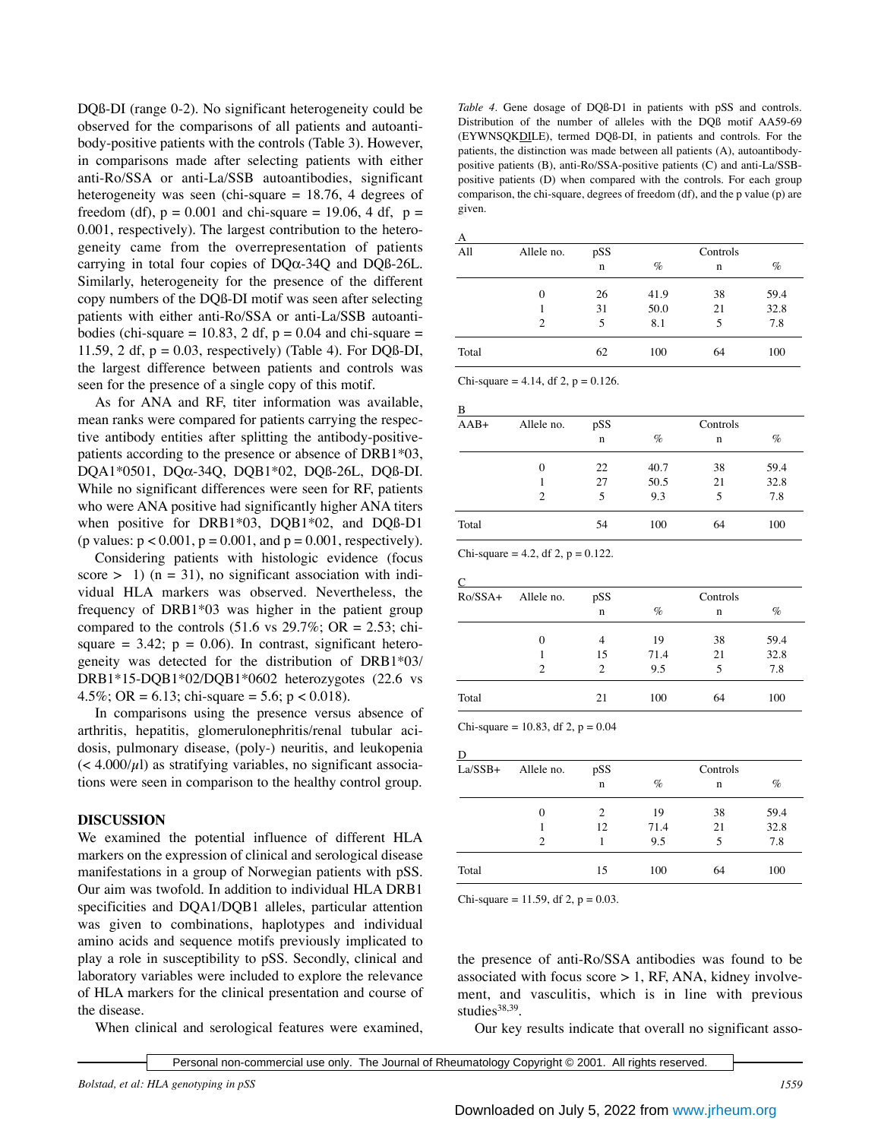DQß-DI (range 0-2). No significant heterogeneity could be observed for the comparisons of all patients and autoantibody-positive patients with the controls (Table 3). However, in comparisons made after selecting patients with either anti-Ro/SSA or anti-La/SSB autoantibodies, significant heterogeneity was seen (chi-square = 18.76, 4 degrees of freedom (df),  $p = 0.001$  and chi-square = 19.06, 4 df,  $p =$ 0.001, respectively). The largest contribution to the heterogeneity came from the overrepresentation of patients carrying in total four copies of DQα-34Q and DQß-26L. Similarly, heterogeneity for the presence of the different copy numbers of the DQß-DI motif was seen after selecting patients with either anti-Ro/SSA or anti-La/SSB autoantibodies (chi-square = 10.83, 2 df,  $p = 0.04$  and chi-square = 11.59, 2 df,  $p = 0.03$ , respectively) (Table 4). For DQB-DI, the largest difference between patients and controls was seen for the presence of a single copy of this motif.

As for ANA and RF, titer information was available, mean ranks were compared for patients carrying the respective antibody entities after splitting the antibody-positivepatients according to the presence or absence of DRB1\*03, DQA1\*0501, DQα-34Q, DQB1\*02, DQß-26L, DQß-DI. While no significant differences were seen for RF, patients who were ANA positive had significantly higher ANA titers when positive for DRB1\*03, DQB1\*02, and DQß-D1 (p values:  $p < 0.001$ ,  $p = 0.001$ , and  $p = 0.001$ , respectively).

Considering patients with histologic evidence (focus score  $> 1$ ) (n = 31), no significant association with individual HLA markers was observed. Nevertheless, the frequency of DRB1\*03 was higher in the patient group compared to the controls  $(51.6 \text{ vs } 29.7\%; \text{ OR } = 2.53; \text{ chi-}$ square  $= 3.42$ ;  $p = 0.06$ ). In contrast, significant heterogeneity was detected for the distribution of DRB1\*03/ DRB1\*15-DQB1\*02/DQB1\*0602 heterozygotes (22.6 vs 4.5%; OR = 6.13; chi-square = 5.6; p < 0.018).

In comparisons using the presence versus absence of arthritis, hepatitis, glomerulonephritis/renal tubular acidosis, pulmonary disease, (poly-) neuritis, and leukopenia  $\left($  < 4.000/ $\mu$ l) as stratifying variables, no significant associations were seen in comparison to the healthy control group.

#### **DISCUSSION**

We examined the potential influence of different HLA markers on the expression of clinical and serological disease manifestations in a group of Norwegian patients with pSS. Our aim was twofold. In addition to individual HLA DRB1 specificities and DQA1/DQB1 alleles, particular attention was given to combinations, haplotypes and individual amino acids and sequence motifs previously implicated to play a role in susceptibility to pSS. Secondly, clinical and laboratory variables were included to explore the relevance of HLA markers for the clinical presentation and course of the disease.

When clinical and serological features were examined,

*Table 4.* Gene dosage of DOß-D1 in patients with pSS and controls. Distribution of the number of alleles with the DQß motif AA59-69 (EYWNSQKDILE), termed DQß-DI, in patients and controls. For the patients, the distinction was made between all patients (A), autoantibodypositive patients (B), anti-Ro/SSA-positive patients (C) and anti-La/SSBpositive patients (D) when compared with the controls. For each group comparison, the chi-square, degrees of freedom (df), and the p value (p) are given.

| All<br>Allele no. |             | pSS  | Controls    |      |      |  |
|-------------------|-------------|------|-------------|------|------|--|
|                   | $\mathbf n$ | $\%$ | $\mathbf n$ | $\%$ |      |  |
|                   | $\theta$    | 26   | 41.9        | 38   | 59.4 |  |
|                   |             | 31   | 50.0        | 21   | 32.8 |  |
|                   | 2           | 5    | 8.1         | 5    | 7.8  |  |
| Total             |             | 62   | 100         | 64   | 100  |  |

Chi-square = 4.14, df 2,  $p = 0.126$ .

| B      |            |             |      |             |      |
|--------|------------|-------------|------|-------------|------|
| $AAB+$ | Allele no. | pSS         |      | Controls    |      |
|        |            | $\mathbf n$ | $\%$ | $\mathbf n$ | $\%$ |
|        | $\Omega$   | 22          | 40.7 | 38          | 59.4 |
|        |            | 27          | 50.5 | 21          | 32.8 |
|        | 2          |             | 9.3  | 5           | 7.8  |
| Total  |            | 54          | 100  | 64          | 100  |

Chi-square = 4.2, df 2,  $p = 0.122$ .

| $Ro/SSA+$      | Allele no. | pSS         | Controls |     |      |
|----------------|------------|-------------|----------|-----|------|
|                |            | $\mathbf n$ | $\%$     | n   | $\%$ |
|                | $\Omega$   | 4           | 19       | 38  | 59.4 |
|                |            | 15          | 71.4     | 21  | 32.8 |
| $\overline{c}$ | 2          | 9.5         |          | 7.8 |      |
| Total          |            | 21          | 100      | 64  | 100  |

Chi-square =  $10.83$ , df 2, p =  $0.04$ 

| $La/SSB+$ | Allele no.     | pSS         | Controls |             |      |  |
|-----------|----------------|-------------|----------|-------------|------|--|
|           |                | $\mathbf n$ | $\%$     | $\mathbf n$ | $\%$ |  |
|           | $\theta$       | 2           | 19       | 38          | 59.4 |  |
|           |                | 12          | 71.4     | 21          | 32.8 |  |
|           | $\mathfrak{D}$ |             | 9.5      | 5           | 7.8  |  |
| Total     |                | 15          | 100      | 64          | 100  |  |

Chi-square = 11.59, df 2,  $p = 0.03$ .

the presence of anti-Ro/SSA antibodies was found to be associated with focus score  $> 1$ , RF, ANA, kidney involvement, and vasculitis, which is in line with previous studies $38,39$ .

Our key results indicate that overall no significant asso-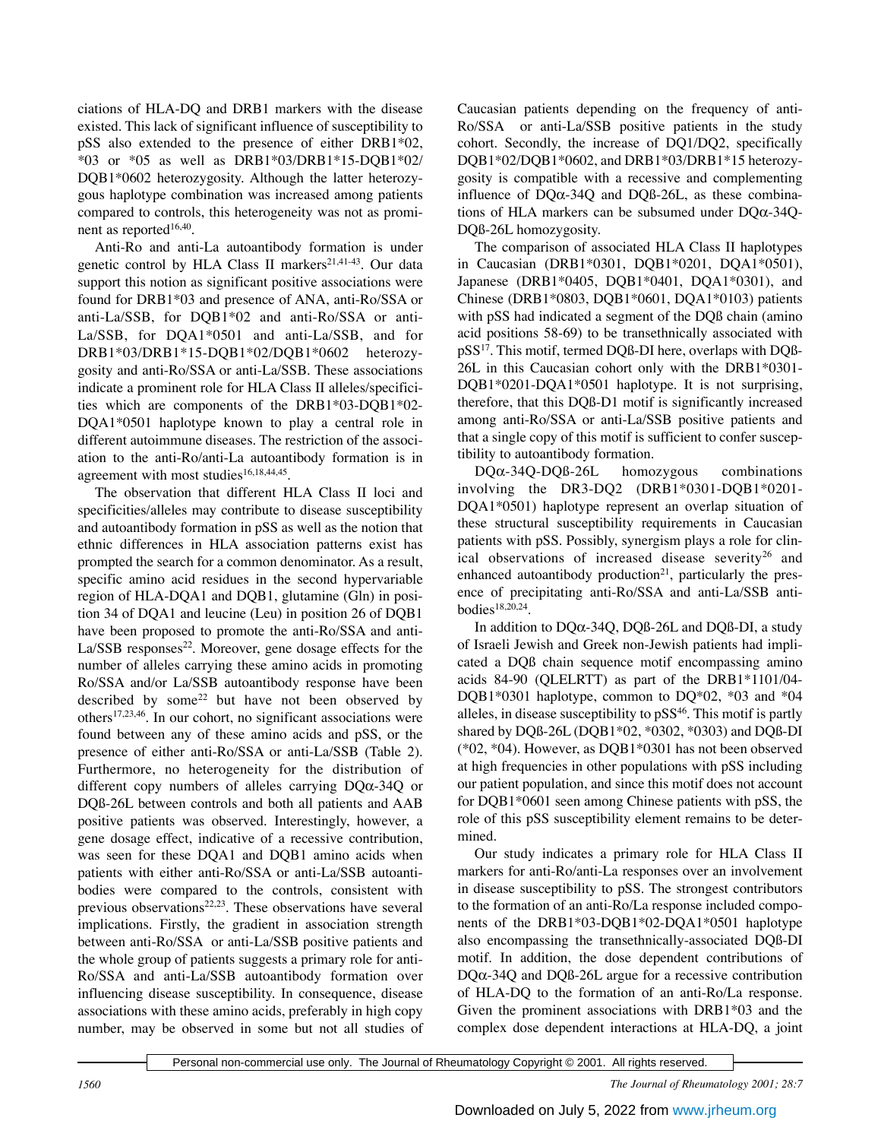ciations of HLA-DQ and DRB1 markers with the disease existed. This lack of significant influence of susceptibility to pSS also extended to the presence of either DRB1\*02, \*03 or \*05 as well as DRB1\*03/DRB1\*15-DQB1\*02/ DQB1\*0602 heterozygosity. Although the latter heterozygous haplotype combination was increased among patients compared to controls, this heterogeneity was not as prominent as reported<sup>16,40</sup>.

Anti-Ro and anti-La autoantibody formation is under genetic control by HLA Class II markers<sup>21,41-43</sup>. Our data support this notion as significant positive associations were found for DRB1\*03 and presence of ANA, anti-Ro/SSA or anti-La/SSB, for DQB1\*02 and anti-Ro/SSA or anti-La/SSB, for DQA1\*0501 and anti-La/SSB, and for DRB1\*03/DRB1\*15-DQB1\*02/DQB1\*0602 heterozygosity and anti-Ro/SSA or anti-La/SSB. These associations indicate a prominent role for HLA Class II alleles/specificities which are components of the DRB1\*03-DQB1\*02- DQA1\*0501 haplotype known to play a central role in different autoimmune diseases. The restriction of the association to the anti-Ro/anti-La autoantibody formation is in agreement with most studies<sup>16,18,44,45</sup>.

The observation that different HLA Class II loci and specificities/alleles may contribute to disease susceptibility and autoantibody formation in pSS as well as the notion that ethnic differences in HLA association patterns exist has prompted the search for a common denominator. As a result, specific amino acid residues in the second hypervariable region of HLA-DQA1 and DQB1, glutamine (Gln) in position 34 of DQA1 and leucine (Leu) in position 26 of DQB1 have been proposed to promote the anti-Ro/SSA and anti- $La/SSB$  responses<sup>22</sup>. Moreover, gene dosage effects for the number of alleles carrying these amino acids in promoting Ro/SSA and/or La/SSB autoantibody response have been described by some $22$  but have not been observed by others17,23,46. In our cohort, no significant associations were found between any of these amino acids and pSS, or the presence of either anti-Ro/SSA or anti-La/SSB (Table 2). Furthermore, no heterogeneity for the distribution of different copy numbers of alleles carrying DQα-34Q or DQß-26L between controls and both all patients and AAB positive patients was observed. Interestingly, however, a gene dosage effect, indicative of a recessive contribution, was seen for these DQA1 and DQB1 amino acids when patients with either anti-Ro/SSA or anti-La/SSB autoantibodies were compared to the controls, consistent with previous observations $22,23$ . These observations have several implications. Firstly, the gradient in association strength between anti-Ro/SSA or anti-La/SSB positive patients and the whole group of patients suggests a primary role for anti-Ro/SSA and anti-La/SSB autoantibody formation over influencing disease susceptibility. In consequence, disease associations with these amino acids, preferably in high copy number, may be observed in some but not all studies of Caucasian patients depending on the frequency of anti-Ro/SSA or anti-La/SSB positive patients in the study cohort. Secondly, the increase of DQ1/DQ2, specifically DQB1\*02/DQB1\*0602, and DRB1\*03/DRB1\*15 heterozygosity is compatible with a recessive and complementing influence of  $DQ\alpha$ -34Q and  $DQ\beta$ -26L, as these combinations of HLA markers can be subsumed under DQα-34Q-DQß-26L homozygosity.

The comparison of associated HLA Class II haplotypes in Caucasian (DRB1\*0301, DQB1\*0201, DQA1\*0501), Japanese (DRB1\*0405, DQB1\*0401, DQA1\*0301), and Chinese (DRB1\*0803, DQB1\*0601, DQA1\*0103) patients with pSS had indicated a segment of the DQß chain (amino acid positions 58-69) to be transethnically associated with pSS17. This motif, termed DQß-DI here, overlaps with DQß-26L in this Caucasian cohort only with the DRB1\*0301- DQB1\*0201-DQA1\*0501 haplotype. It is not surprising, therefore, that this DQß-D1 motif is significantly increased among anti-Ro/SSA or anti-La/SSB positive patients and that a single copy of this motif is sufficient to confer susceptibility to autoantibody formation.

DQα-34Q-DQß-26L homozygous combinations involving the DR3-DQ2 (DRB1\*0301-DQB1\*0201- DQA1\*0501) haplotype represent an overlap situation of these structural susceptibility requirements in Caucasian patients with pSS. Possibly, synergism plays a role for clinical observations of increased disease severity<sup>26</sup> and enhanced autoantibody production $21$ , particularly the presence of precipitating anti-Ro/SSA and anti-La/SSB antibodies<sup>18,20,24</sup>.

In addition to DQα-34Q, DQß-26L and DQß-DI, a study of Israeli Jewish and Greek non-Jewish patients had implicated a DQß chain sequence motif encompassing amino acids 84-90 (QLELRTT) as part of the DRB1\*1101/04- DQB1\*0301 haplotype, common to DQ\*02, \*03 and \*04 alleles, in disease susceptibility to  $pSS<sup>46</sup>$ . This motif is partly shared by DQß-26L (DQB1\*02, \*0302, \*0303) and DQß-DI (\*02, \*04). However, as DQB1\*0301 has not been observed at high frequencies in other populations with pSS including our patient population, and since this motif does not account for DQB1\*0601 seen among Chinese patients with pSS, the role of this pSS susceptibility element remains to be determined.

Our study indicates a primary role for HLA Class II markers for anti-Ro/anti-La responses over an involvement in disease susceptibility to pSS. The strongest contributors to the formation of an anti-Ro/La response included components of the DRB1\*03-DQB1\*02-DQA1\*0501 haplotype also encompassing the transethnically-associated DQß-DI motif. In addition, the dose dependent contributions of DQα-34Q and DQß-26L argue for a recessive contribution of HLA-DQ to the formation of an anti-Ro/La response. Given the prominent associations with DRB1\*03 and the complex dose dependent interactions at HLA-DQ, a joint

*1560 The Journal of Rheumatology 2001; 28:7*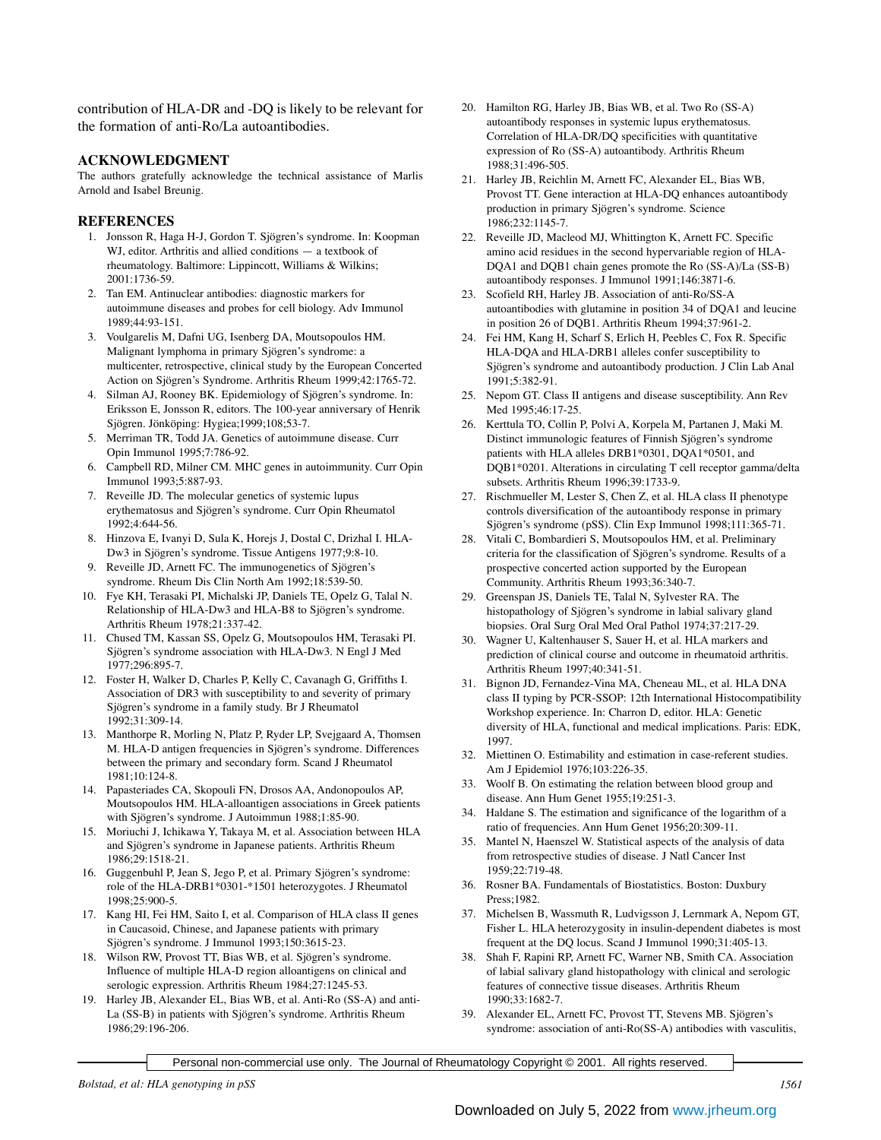contribution of HLA-DR and -DQ is likely to be relevant for the formation of anti-Ro/La autoantibodies.

# **ACKNOWLEDGMENT**

The authors gratefully acknowledge the technical assistance of Marlis Arnold and Isabel Breunig.

### **REFERENCES**

- 1. Jonsson R, Haga H-J, Gordon T. Sjögren's syndrome. In: Koopman WJ, editor. Arthritis and allied conditions — a textbook of rheumatology. Baltimore: Lippincott, Williams & Wilkins; 2001:1736-59.
- 2. Tan EM. Antinuclear antibodies: diagnostic markers for autoimmune diseases and probes for cell biology. Adv Immunol 1989;44:93-151.
- 3. Voulgarelis M, Dafni UG, Isenberg DA, Moutsopoulos HM. Malignant lymphoma in primary Sjögren's syndrome: a multicenter, retrospective, clinical study by the European Concerted Action on Sjögren's Syndrome. Arthritis Rheum 1999;42:1765-72.
- 4. Silman AJ, Rooney BK. Epidemiology of Sjögren's syndrome. In: Eriksson E, Jonsson R, editors. The 100-year anniversary of Henrik Sjögren. Jönköping: Hygiea;1999;108;53-7.
- 5. Merriman TR, Todd JA. Genetics of autoimmune disease. Curr Opin Immunol 1995;7:786-92.
- 6. Campbell RD, Milner CM. MHC genes in autoimmunity. Curr Opin Immunol 1993;5:887-93.
- 7. Reveille JD. The molecular genetics of systemic lupus erythematosus and Sjögren's syndrome. Curr Opin Rheumatol 1992;4:644-56.
- 8. Hinzova E, Ivanyi D, Sula K, Horejs J, Dostal C, Drizhal I. HLA-Dw3 in Sjögren's syndrome. Tissue Antigens 1977;9:8-10.
- 9. Reveille JD, Arnett FC. The immunogenetics of Sjögren's syndrome. Rheum Dis Clin North Am 1992;18:539-50.
- 10. Fye KH, Terasaki PI, Michalski JP, Daniels TE, Opelz G, Talal N. Relationship of HLA-Dw3 and HLA-B8 to Sjögren's syndrome. Arthritis Rheum 1978;21:337-42.
- 11. Chused TM, Kassan SS, Opelz G, Moutsopoulos HM, Terasaki PI. Sjögren's syndrome association with HLA-Dw3. N Engl J Med 1977;296:895-7.
- 12. Foster H, Walker D, Charles P, Kelly C, Cavanagh G, Griffiths I. Association of DR3 with susceptibility to and severity of primary Sjögren's syndrome in a family study. Br J Rheumatol 1992;31:309-14.
- 13. Manthorpe R, Morling N, Platz P, Ryder LP, Svejgaard A, Thomsen M. HLA-D antigen frequencies in Sjögren's syndrome. Differences between the primary and secondary form. Scand J Rheumatol 1981;10:124-8.
- 14. Papasteriades CA, Skopouli FN, Drosos AA, Andonopoulos AP, Moutsopoulos HM. HLA-alloantigen associations in Greek patients with Sjögren's syndrome. J Autoimmun 1988;1:85-90.
- 15. Moriuchi J, Ichikawa Y, Takaya M, et al. Association between HLA and Sjögren's syndrome in Japanese patients. Arthritis Rheum 1986;29:1518-21.
- 16. Guggenbuhl P, Jean S, Jego P, et al. Primary Sjögren's syndrome: role of the HLA-DRB1\*0301-\*1501 heterozygotes. J Rheumatol 1998;25:900-5.
- 17. Kang HI, Fei HM, Saito I, et al. Comparison of HLA class II genes in Caucasoid, Chinese, and Japanese patients with primary Sjögren's syndrome. J Immunol 1993;150:3615-23.
- 18. Wilson RW, Provost TT, Bias WB, et al. Sjögren's syndrome. Influence of multiple HLA-D region alloantigens on clinical and serologic expression. Arthritis Rheum 1984:27:1245-53.
- 19. Harley JB, Alexander EL, Bias WB, et al. Anti-Ro (SS-A) and anti-La (SS-B) in patients with Sjögren's syndrome. Arthritis Rheum 1986;29:196-206.
- 20. Hamilton RG, Harley JB, Bias WB, et al. Two Ro (SS-A) autoantibody responses in systemic lupus erythematosus. Correlation of HLA-DR/DQ specificities with quantitative expression of Ro (SS-A) autoantibody. Arthritis Rheum 1988;31:496-505.
- 21. Harley JB, Reichlin M, Arnett FC, Alexander EL, Bias WB, Provost TT. Gene interaction at HLA-DQ enhances autoantibody production in primary Sjögren's syndrome. Science 1986;232:1145-7.
- 22. Reveille JD, Macleod MJ, Whittington K, Arnett FC. Specific amino acid residues in the second hypervariable region of HLA-DQA1 and DQB1 chain genes promote the Ro (SS-A)/La (SS-B) autoantibody responses. J Immunol 1991;146:3871-6.
- 23. Scofield RH, Harley JB. Association of anti-Ro/SS-A autoantibodies with glutamine in position 34 of DQA1 and leucine in position 26 of DQB1. Arthritis Rheum 1994;37:961-2.
- 24. Fei HM, Kang H, Scharf S, Erlich H, Peebles C, Fox R. Specific HLA-DQA and HLA-DRB1 alleles confer susceptibility to Sjögren's syndrome and autoantibody production. J Clin Lab Anal 1991;5:382-91.
- 25. Nepom GT. Class II antigens and disease susceptibility. Ann Rev Med 1995;46:17-25.
- 26. Kerttula TO, Collin P, Polvi A, Korpela M, Partanen J, Maki M. Distinct immunologic features of Finnish Sjögren's syndrome patients with HLA alleles DRB1\*0301, DQA1\*0501, and DQB1\*0201. Alterations in circulating T cell receptor gamma/delta subsets. Arthritis Rheum 1996;39:1733-9.
- 27. Rischmueller M, Lester S, Chen Z, et al. HLA class II phenotype controls diversification of the autoantibody response in primary Sjögren's syndrome (pSS). Clin Exp Immunol 1998;111:365-71.
- 28. Vitali C, Bombardieri S, Moutsopoulos HM, et al. Preliminary criteria for the classification of Sjögren's syndrome. Results of a prospective concerted action supported by the European Community. Arthritis Rheum 1993;36:340-7.
- 29. Greenspan JS, Daniels TE, Talal N, Sylvester RA. The histopathology of Sjögren's syndrome in labial salivary gland biopsies. Oral Surg Oral Med Oral Pathol 1974;37:217-29.
- 30. Wagner U, Kaltenhauser S, Sauer H, et al. HLA markers and prediction of clinical course and outcome in rheumatoid arthritis. Arthritis Rheum 1997;40:341-51.
- 31. Bignon JD, Fernandez-Vina MA, Cheneau ML, et al. HLA DNA class II typing by PCR-SSOP: 12th International Histocompatibility Workshop experience. In: Charron D, editor. HLA: Genetic diversity of HLA, functional and medical implications. Paris: EDK, 1997.
- 32. Miettinen O. Estimability and estimation in case-referent studies. Am J Epidemiol 1976;103:226-35.
- 33. Woolf B. On estimating the relation between blood group and disease. Ann Hum Genet 1955;19:251-3.
- 34. Haldane S. The estimation and significance of the logarithm of a ratio of frequencies. Ann Hum Genet 1956;20:309-11.
- 35. Mantel N, Haenszel W. Statistical aspects of the analysis of data from retrospective studies of disease. J Natl Cancer Inst 1959;22:719-48.
- 36. Rosner BA. Fundamentals of Biostatistics. Boston: Duxbury Press;1982.
- 37. Michelsen B, Wassmuth R, Ludvigsson J, Lernmark A, Nepom GT, Fisher L. HLA heterozygosity in insulin-dependent diabetes is most frequent at the DQ locus. Scand J Immunol 1990;31:405-13.
- 38. Shah F, Rapini RP, Arnett FC, Warner NB, Smith CA. Association of labial salivary gland histopathology with clinical and serologic features of connective tissue diseases. Arthritis Rheum 1990;33:1682-7.
- 39. Alexander EL, Arnett FC, Provost TT, Stevens MB. Sjögren's syndrome: association of anti-Ro(SS-A) antibodies with vasculitis,